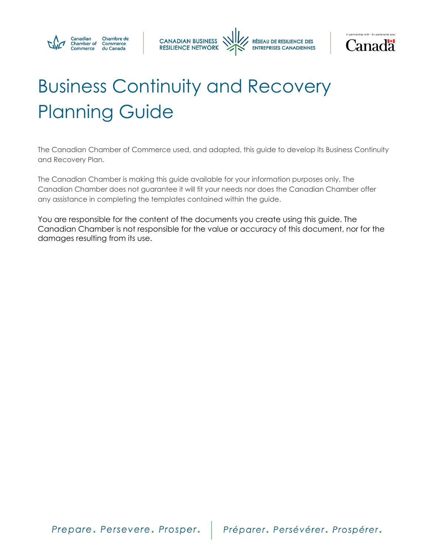





# Business Continuity and Recovery Planning Guide

The Canadian Chamber of Commerce used, and adapted, this guide to develop its Business Continuity and Recovery Plan.

The Canadian Chamber is making this guide available for your information purposes only. The Canadian Chamber does not guarantee it will fit your needs nor does the Canadian Chamber offer any assistance in completing the templates contained within the guide.

You are responsible for the content of the documents you create using this guide. The Canadian Chamber is not responsible for the value or accuracy of this document, nor for the damages resulting from its use.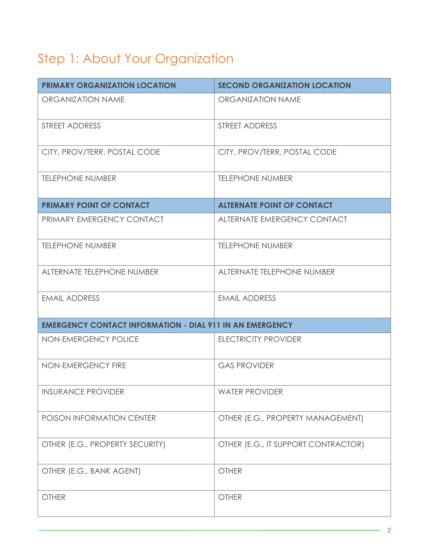# Step 1: About Your Organization

| <b>PRIMARY ORGANIZATION LOCATION</b>                            | <b>SECOND ORGANIZATION LOCATION</b> |
|-----------------------------------------------------------------|-------------------------------------|
| <b>ORGANIZATION NAME</b>                                        | <b>ORGANIZATION NAME</b>            |
| <b>STREET ADDRESS</b>                                           | STREET ADDRESS                      |
| CITY, PROV/TERR, POSTAL CODE                                    | CITY, PROV/TERR, POSTAL CODE        |
| <b>TELEPHONE NUMBER</b>                                         | <b>TELEPHONE NUMBER</b>             |
| <b>PRIMARY POINT OF CONTACT</b>                                 | <b>ALTERNATE POINT OF CONTACT</b>   |
| PRIMARY EMERGENCY CONTACT                                       | ALTERNATE EMERGENCY CONTACT         |
| <b>TELEPHONE NUMBER</b>                                         | <b>TELEPHONE NUMBER</b>             |
| ALTERNATE TELEPHONE NUMBER                                      | ALTERNATE TELEPHONE NUMBER          |
| <b>EMAIL ADDRESS</b>                                            | <b>EMAIL ADDRESS</b>                |
| <b>EMERGENCY CONTACT INFORMATION - DIAL 911 IN AN EMERGENCY</b> |                                     |
| NON-EMERGENCY POLICE                                            | <b>ELECTRICITY PROVIDER</b>         |
| NON-EMERGENCY FIRE                                              | <b>GAS PROVIDER</b>                 |
| <b>INSURANCE PROVIDER</b>                                       | <b>WATER PROVIDER</b>               |
| POISON INFORMATION CENTER                                       | OTHER (E.G., PROPERTY MANAGEMENT)   |
| OTHER (E.G., PROPERTY SECURITY)                                 | OTHER (E.G., IT SUPPORT CONTRACTOR) |
| OTHER (E.G., BANK AGENT)                                        | <b>OTHER</b>                        |
| <b>OTHER</b>                                                    | <b>OTHER</b>                        |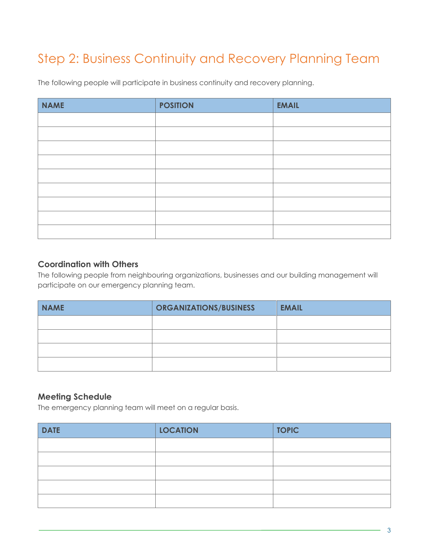# Step 2: Business Continuity and Recovery Planning Team

The following people will participate in business continuity and recovery planning.

| <b>NAME</b> | <b>POSITION</b> | <b>EMAIL</b> |
|-------------|-----------------|--------------|
|             |                 |              |
|             |                 |              |
|             |                 |              |
|             |                 |              |
|             |                 |              |
|             |                 |              |
|             |                 |              |
|             |                 |              |
|             |                 |              |

#### **Coordination with Others**

The following people from neighbouring organizations, businesses and our building management will participate on our emergency planning team.

| <b>NAME</b> | <b>ORGANIZATIONS/BUSINESS</b> | <b>EMAIL</b> |
|-------------|-------------------------------|--------------|
|             |                               |              |
|             |                               |              |
|             |                               |              |
|             |                               |              |

#### **Meeting Schedule**

The emergency planning team will meet on a regular basis.

| <b>DATE</b> | <b>LOCATION</b> | <b>TOPIC</b> |
|-------------|-----------------|--------------|
|             |                 |              |
|             |                 |              |
|             |                 |              |
|             |                 |              |
|             |                 |              |

3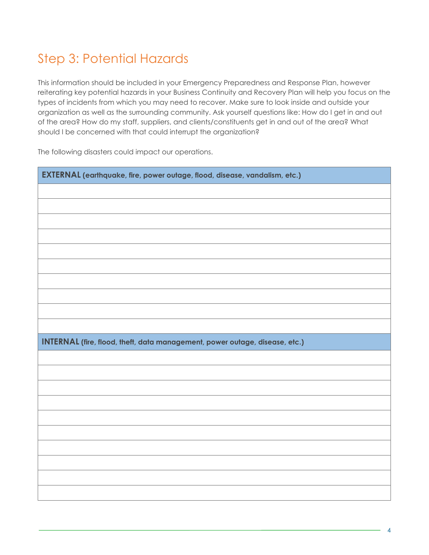#### Step 3: Potential Hazards

This information should be included in your Emergency Preparedness and Response Plan, however reiterating key potential hazards in your Business Continuity and Recovery Plan will help you focus on the types of incidents from which you may need to recover. Make sure to look inside and outside your organization as well as the surrounding community. Ask yourself questions like: How do I get in and out of the area? How do my staff, suppliers, and clients/constituents get in and out of the area? What should I be concerned with that could interrupt the organization?

The following disasters could impact our operations.

| EXTERNAL (earthquake, fire, power outage, flood, disease, vandalism, etc.)  |  |  |
|-----------------------------------------------------------------------------|--|--|
|                                                                             |  |  |
|                                                                             |  |  |
|                                                                             |  |  |
|                                                                             |  |  |
|                                                                             |  |  |
|                                                                             |  |  |
|                                                                             |  |  |
|                                                                             |  |  |
|                                                                             |  |  |
|                                                                             |  |  |
| INTERNAL (fire, flood, theft, data management, power outage, disease, etc.) |  |  |
|                                                                             |  |  |
|                                                                             |  |  |
|                                                                             |  |  |
|                                                                             |  |  |
|                                                                             |  |  |
|                                                                             |  |  |
|                                                                             |  |  |
|                                                                             |  |  |
|                                                                             |  |  |
|                                                                             |  |  |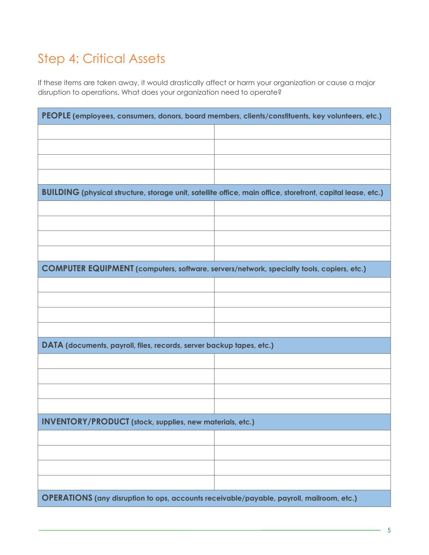# Step 4: Critical Assets

If these items are taken away, it would drastically affect or harm your organization or cause a major disruption to operations. What does your organization need to operate?

| PEOPLE (employees, consumers, donors, board members, clients/constituents, key volunteers, etc.)                   |  |  |
|--------------------------------------------------------------------------------------------------------------------|--|--|
|                                                                                                                    |  |  |
|                                                                                                                    |  |  |
|                                                                                                                    |  |  |
|                                                                                                                    |  |  |
| <b>BUILDING</b> (physical structure, storage unit, satellite office, main office, storefront, capital lease, etc.) |  |  |
|                                                                                                                    |  |  |
|                                                                                                                    |  |  |
|                                                                                                                    |  |  |
|                                                                                                                    |  |  |
| <b>COMPUTER EQUIPMENT</b> (computers, software, servers/network, specialty tools, copiers, etc.)                   |  |  |
|                                                                                                                    |  |  |
|                                                                                                                    |  |  |
|                                                                                                                    |  |  |
|                                                                                                                    |  |  |
| DATA (documents, payroll, files, records, server backup tapes, etc.)                                               |  |  |
|                                                                                                                    |  |  |
|                                                                                                                    |  |  |
|                                                                                                                    |  |  |
|                                                                                                                    |  |  |
| <b>INVENTORY/PRODUCT</b> (stock, supplies, new materials, etc.)                                                    |  |  |
|                                                                                                                    |  |  |
|                                                                                                                    |  |  |
|                                                                                                                    |  |  |
|                                                                                                                    |  |  |
| OPERATIONS (any disruption to ops, accounts receivable/payable, payroll, mailroom, etc.)                           |  |  |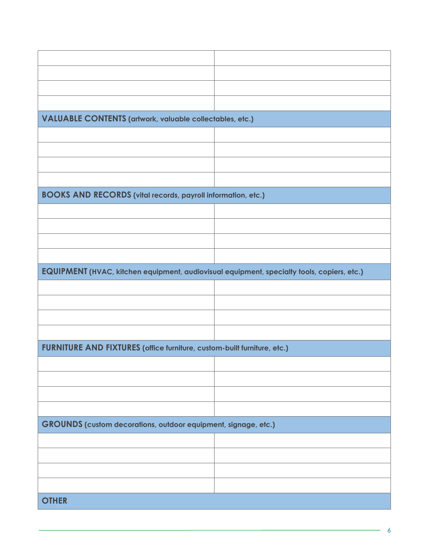| <b>VALUABLE CONTENTS (artwork, valuable collectables, etc.)</b>                            |  |  |
|--------------------------------------------------------------------------------------------|--|--|
|                                                                                            |  |  |
|                                                                                            |  |  |
|                                                                                            |  |  |
|                                                                                            |  |  |
| <b>BOOKS AND RECORDS (vital records, payroll information, etc.)</b>                        |  |  |
|                                                                                            |  |  |
|                                                                                            |  |  |
|                                                                                            |  |  |
|                                                                                            |  |  |
| EQUIPMENT (HVAC, kitchen equipment, audiovisual equipment, specialty tools, copiers, etc.) |  |  |
|                                                                                            |  |  |
|                                                                                            |  |  |
|                                                                                            |  |  |
|                                                                                            |  |  |
| FURNITURE AND FIXTURES (office furniture, custom-built furniture, etc.)                    |  |  |
|                                                                                            |  |  |
|                                                                                            |  |  |
|                                                                                            |  |  |
|                                                                                            |  |  |
| GROUNDS (custom decorations, outdoor equipment, signage, etc.)                             |  |  |
|                                                                                            |  |  |
|                                                                                            |  |  |
|                                                                                            |  |  |
|                                                                                            |  |  |
| <b>OTHER</b>                                                                               |  |  |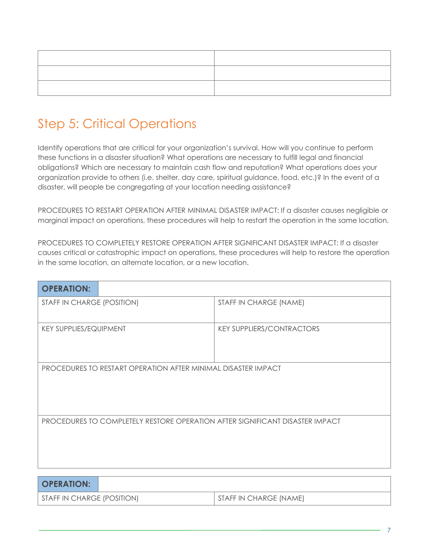#### Step 5: Critical Operations

Identify operations that are critical for your organization's survival. How will you continue to perform these functions in a disaster situation? What operations are necessary to fulfill legal and financial obligations? Which are necessary to maintain cash flow and reputation? What operations does your organization provide to others (i.e. shelter, day care, spiritual guidance, food, etc.)? In the event of a disaster, will people be congregating at your location needing assistance?

PROCEDURES TO RESTART OPERATION AFTER MINIMAL DISASTER IMPACT: If a disaster causes negligible or marginal impact on operations, these procedures will help to restart the operation in the same location.

PROCEDURES TO COMPLETELY RESTORE OPERATION AFTER SIGNIFICANT DISASTER IMPACT: If a disaster causes critical or catastrophic impact on operations, these procedures will help to restore the operation in the same location, an alternate location, or a new location.

| <b>OPERATION:</b>                                                            |                                  |  |
|------------------------------------------------------------------------------|----------------------------------|--|
| STAFF IN CHARGE (POSITION)                                                   | STAFF IN CHARGE (NAME)           |  |
| <b>KEY SUPPLIES/EQUIPMENT</b>                                                | <b>KEY SUPPLIERS/CONTRACTORS</b> |  |
| PROCEDURES TO RESTART OPERATION AFTER MINIMAL DISASTER IMPACT                |                                  |  |
| PROCEDURES TO COMPLETELY RESTORE OPERATION AFTER SIGNIFICANT DISASTER IMPACT |                                  |  |
|                                                                              |                                  |  |

| <b>OPERATION:</b>          |                        |
|----------------------------|------------------------|
| STAFF IN CHARGE (POSITION) | STAFF IN CHARGE (NAME) |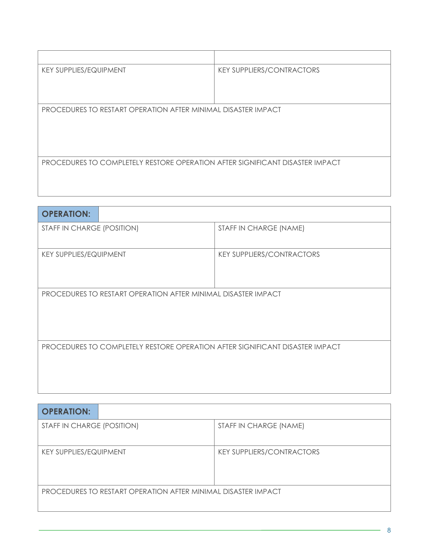| <b>KEY SUPPLIES/EQUIPMENT</b>                                                | <b>KEY SUPPLIERS/CONTRACTORS</b> |  |
|------------------------------------------------------------------------------|----------------------------------|--|
|                                                                              |                                  |  |
|                                                                              |                                  |  |
| PROCEDURES TO RESTART OPERATION AFTER MINIMAL DISASTER IMPACT                |                                  |  |
|                                                                              |                                  |  |
|                                                                              |                                  |  |
|                                                                              |                                  |  |
| PROCEDURES TO COMPLETELY RESTORE OPERATION AFTER SIGNIFICANT DISASTER IMPACT |                                  |  |
|                                                                              |                                  |  |
|                                                                              |                                  |  |

| <b>OPERATION:</b>                                                            |                                  |  |
|------------------------------------------------------------------------------|----------------------------------|--|
| STAFF IN CHARGE (POSITION)                                                   | STAFF IN CHARGE (NAME)           |  |
| <b>KEY SUPPLIES/EQUIPMENT</b>                                                | <b>KEY SUPPLIERS/CONTRACTORS</b> |  |
| PROCEDURES TO RESTART OPERATION AFTER MINIMAL DISASTER IMPACT                |                                  |  |
| PROCEDURES TO COMPLETELY RESTORE OPERATION AFTER SIGNIFICANT DISASTER IMPACT |                                  |  |

| <b>OPERATION:</b>                                             |                                  |  |
|---------------------------------------------------------------|----------------------------------|--|
| STAFF IN CHARGE (POSITION)                                    | STAFF IN CHARGE (NAME)           |  |
| <b>KEY SUPPLIES/EQUIPMENT</b>                                 | <b>KEY SUPPLIERS/CONTRACTORS</b> |  |
| PROCEDURES TO RESTART OPERATION AFTER MINIMAL DISASTER IMPACT |                                  |  |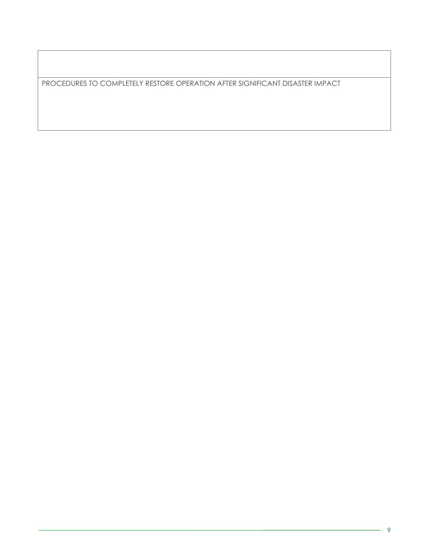PROCEDURES TO COMPLETELY RESTORE OPERATION AFTER SIGNIFICANT DISASTER IMPACT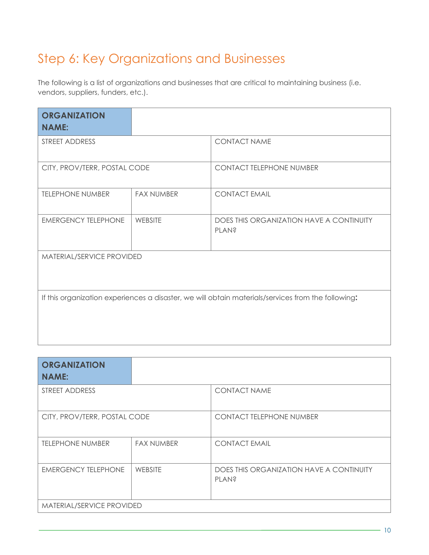#### Step 6: Key Organizations and Businesses

The following is a list of organizations and businesses that are critical to maintaining business (i.e. vendors, suppliers, funders, etc.).

| <b>ORGANIZATION</b><br><b>NAME:</b>                                                                |                   |                                                          |  |
|----------------------------------------------------------------------------------------------------|-------------------|----------------------------------------------------------|--|
| STREET ADDRESS                                                                                     |                   | <b>CONTACT NAME</b>                                      |  |
| CITY, PROV/TERR, POSTAL CODE                                                                       |                   | <b>CONTACT TELEPHONE NUMBER</b>                          |  |
| <b>TELEPHONE NUMBER</b>                                                                            | <b>FAX NUMBER</b> | <b>CONTACT EMAIL</b>                                     |  |
| <b>EMERGENCY TELEPHONE</b>                                                                         | <b>WEBSITE</b>    | DOES THIS ORGANIZATION HAVE A CONTINUITY<br><b>PLAN?</b> |  |
| MATERIAL/SERVICE PROVIDED                                                                          |                   |                                                          |  |
| If this organization experiences a disaster, we will obtain materials/services from the following: |                   |                                                          |  |

| <b>ORGANIZATION</b><br><b>NAME:</b> |                   |                                                   |
|-------------------------------------|-------------------|---------------------------------------------------|
| STREET ADDRESS                      |                   | <b>CONTACT NAME</b>                               |
| CITY, PROV/TERR, POSTAL CODE        |                   | <b>CONTACT TELEPHONE NUMBER</b>                   |
| <b>TELEPHONE NUMBER</b>             | <b>FAX NUMBER</b> | <b>CONTACT EMAIL</b>                              |
| <b>EMERGENCY TELEPHONE</b>          | WEBSITE           | DOES THIS ORGANIZATION HAVE A CONTINUITY<br>PLAN? |
| MATERIAL/SERVICE PROVIDED           |                   |                                                   |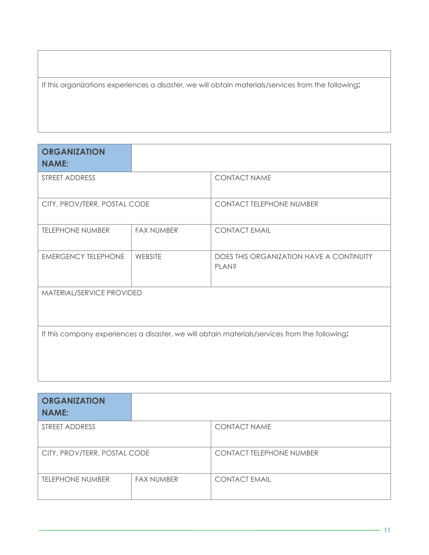If this organizations experiences a disaster, we will obtain materials/services from the following**:**

| <b>ORGANIZATION</b><br><b>NAME:</b> |                   |                                                                                               |  |
|-------------------------------------|-------------------|-----------------------------------------------------------------------------------------------|--|
| STREET ADDRESS                      |                   | <b>CONTACT NAME</b>                                                                           |  |
| CITY, PROV/TERR, POSTAL CODE        |                   | <b>CONTACT TELEPHONE NUMBER</b>                                                               |  |
| <b>TELEPHONE NUMBER</b>             | <b>FAX NUMBER</b> | <b>CONTACT EMAIL</b>                                                                          |  |
| <b>EMERGENCY TELEPHONE</b>          | WEBSITE           | DOES THIS ORGANIZATION HAVE A CONTINUITY<br><b>PLAN?</b>                                      |  |
| MATERIAL/SERVICE PROVIDED           |                   |                                                                                               |  |
|                                     |                   | If this company experiences a disaster, we will obtain materials/services from the following: |  |

| <b>ORGANIZATION</b><br><b>NAME:</b> |                   |                                 |
|-------------------------------------|-------------------|---------------------------------|
| STREET ADDRESS                      |                   | <b>CONTACT NAME</b>             |
| CITY, PROV/TERR, POSTAL CODE        |                   | <b>CONTACT TELEPHONE NUMBER</b> |
| <b>TELEPHONE NUMBER</b>             | <b>FAX NUMBER</b> | <b>CONTACT EMAIL</b>            |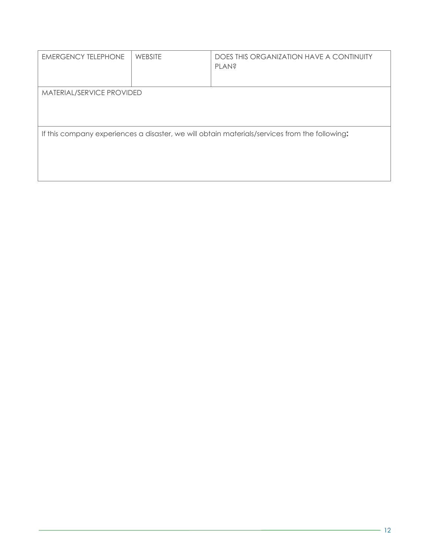| <b>EMERGENCY TELEPHONE</b>                                                                    | <b>WEBSITE</b> | DOES THIS ORGANIZATION HAVE A CONTINUITY<br><b>PLAN?</b> |  |
|-----------------------------------------------------------------------------------------------|----------------|----------------------------------------------------------|--|
| MATERIAL/SERVICE PROVIDED                                                                     |                |                                                          |  |
| If this company experiences a disaster, we will obtain materials/services from the following: |                |                                                          |  |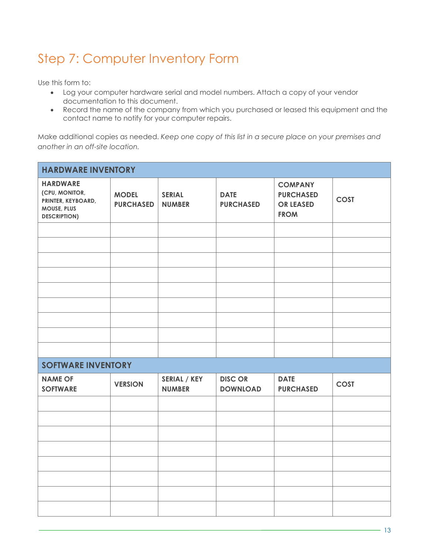# Step 7: Computer Inventory Form

Use this form to:

- Log your computer hardware serial and model numbers. Attach a copy of your vendor documentation to this document.
- Record the name of the company from which you purchased or leased this equipment and the contact name to notify for your computer repairs.

Make additional copies as needed. *Keep one copy of this list in a secure place on your premises and another in an off-site location.*

| <b>HARDWARE INVENTORY</b>                                                                     |                                  |                                      |                                   |                                                                       |             |
|-----------------------------------------------------------------------------------------------|----------------------------------|--------------------------------------|-----------------------------------|-----------------------------------------------------------------------|-------------|
| <b>HARDWARE</b><br>(CPU, MONITOR,<br>PRINTER, KEYBOARD,<br>MOUSE, PLUS<br><b>DESCRIPTION)</b> | <b>MODEL</b><br><b>PURCHASED</b> | <b>SERIAL</b><br><b>NUMBER</b>       | <b>DATE</b><br><b>PURCHASED</b>   | <b>COMPANY</b><br><b>PURCHASED</b><br><b>OR LEASED</b><br><b>FROM</b> | <b>COST</b> |
|                                                                                               |                                  |                                      |                                   |                                                                       |             |
|                                                                                               |                                  |                                      |                                   |                                                                       |             |
|                                                                                               |                                  |                                      |                                   |                                                                       |             |
|                                                                                               |                                  |                                      |                                   |                                                                       |             |
|                                                                                               |                                  |                                      |                                   |                                                                       |             |
|                                                                                               |                                  |                                      |                                   |                                                                       |             |
|                                                                                               |                                  |                                      |                                   |                                                                       |             |
|                                                                                               |                                  |                                      |                                   |                                                                       |             |
|                                                                                               |                                  |                                      |                                   |                                                                       |             |
| <b>SOFTWARE INVENTORY</b>                                                                     |                                  |                                      |                                   |                                                                       |             |
| <b>NAME OF</b><br><b>SOFTWARE</b>                                                             | <b>VERSION</b>                   | <b>SERIAL / KEY</b><br><b>NUMBER</b> | <b>DISC OR</b><br><b>DOWNLOAD</b> | <b>DATE</b><br><b>PURCHASED</b>                                       | <b>COST</b> |
|                                                                                               |                                  |                                      |                                   |                                                                       |             |
|                                                                                               |                                  |                                      |                                   |                                                                       |             |
|                                                                                               |                                  |                                      |                                   |                                                                       |             |
|                                                                                               |                                  |                                      |                                   |                                                                       |             |
|                                                                                               |                                  |                                      |                                   |                                                                       |             |
|                                                                                               |                                  |                                      |                                   |                                                                       |             |
|                                                                                               |                                  |                                      |                                   |                                                                       |             |
|                                                                                               |                                  |                                      |                                   |                                                                       |             |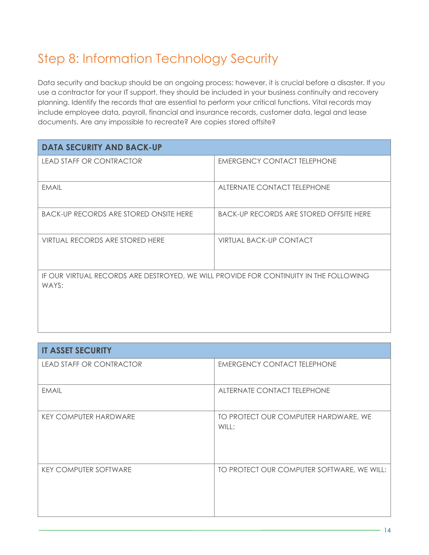# Step 8: Information Technology Security

Data security and backup should be an ongoing process; however, it is crucial before a disaster. If you use a contractor for your IT support, they should be included in your business continuity and recovery planning. Identify the records that are essential to perform your critical functions. Vital records may include employee data, payroll, financial and insurance records, customer data, legal and lease documents. Are any impossible to recreate? Are copies stored offsite?

| <b>DATA SECURITY AND BACK-UP</b>                                                               |                                                |
|------------------------------------------------------------------------------------------------|------------------------------------------------|
| <b>LEAD STAFF OR CONTRACTOR</b>                                                                | <b>EMERGENCY CONTACT TELEPHONE</b>             |
| <b>EMAIL</b>                                                                                   | ALTERNATE CONTACT TELEPHONE                    |
| <b>BACK-UP RECORDS ARE STORED ONSITE HERE</b>                                                  | <b>BACK-UP RECORDS ARE STORED OFFSITE HERE</b> |
| VIRTUAL RECORDS ARE STORED HERE                                                                | <b>VIRTUAL BACK-UP CONTACT</b>                 |
| IF OUR VIRTUAL RECORDS ARE DESTROYED, WE WILL PROVIDE FOR CONTINUITY IN THE FOLLOWING<br>WAYS: |                                                |

| <b>IT ASSET SECURITY</b>        |                                               |
|---------------------------------|-----------------------------------------------|
| <b>LEAD STAFF OR CONTRACTOR</b> | <b>EMERGENCY CONTACT TELEPHONE</b>            |
| <b>EMAIL</b>                    | ALTERNATE CONTACT TELEPHONE                   |
| <b>KEY COMPUTER HARDWARE</b>    | TO PROTECT OUR COMPUTER HARDWARE, WE<br>WILL: |
| <b>KEY COMPUTER SOFTWARE</b>    | TO PROTECT OUR COMPUTER SOFTWARE, WE WILL:    |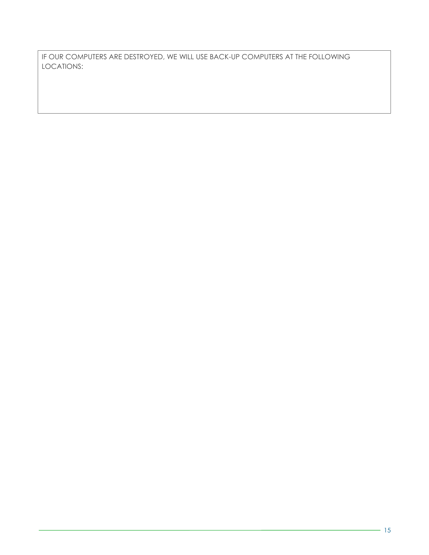IF OUR COMPUTERS ARE DESTROYED, WE WILL USE BACK-UP COMPUTERS AT THE FOLLOWING LOCATIONS: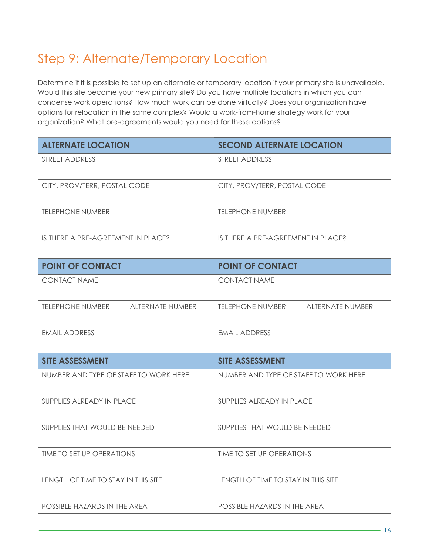# Step 9: Alternate/Temporary Location

Determine if it is possible to set up an alternate or temporary location if your primary site is unavailable. Would this site become your new primary site? Do you have multiple locations in which you can condense work operations? How much work can be done virtually? Does your organization have options for relocation in the same complex? Would a work-from-home strategy work for your organization? What pre-agreements would you need for these options?

| <b>ALTERNATE LOCATION</b>             |                         | <b>SECOND ALTERNATE LOCATION</b>      |                              |  |
|---------------------------------------|-------------------------|---------------------------------------|------------------------------|--|
| STREET ADDRESS                        |                         | STREET ADDRESS                        |                              |  |
| CITY, PROV/TERR, POSTAL CODE          |                         |                                       | CITY, PROV/TERR, POSTAL CODE |  |
| <b>TELEPHONE NUMBER</b>               |                         | <b>TELEPHONE NUMBER</b>               |                              |  |
| IS THERE A PRE-AGREEMENT IN PLACE?    |                         | IS THERE A PRE-AGREEMENT IN PLACE?    |                              |  |
| <b>POINT OF CONTACT</b>               |                         | <b>POINT OF CONTACT</b>               |                              |  |
| <b>CONTACT NAME</b>                   |                         | <b>CONTACT NAME</b>                   |                              |  |
| <b>TELEPHONE NUMBER</b>               | <b>ALTERNATE NUMBER</b> | <b>TELEPHONE NUMBER</b>               | <b>ALTERNATE NUMBER</b>      |  |
| <b>EMAIL ADDRESS</b>                  |                         | <b>EMAIL ADDRESS</b>                  |                              |  |
| <b>SITE ASSESSMENT</b>                |                         | <b>SITE ASSESSMENT</b>                |                              |  |
| NUMBER AND TYPE OF STAFF TO WORK HERE |                         | NUMBER AND TYPE OF STAFF TO WORK HERE |                              |  |
| SUPPLIES ALREADY IN PLACE             |                         | SUPPLIES ALREADY IN PLACE             |                              |  |
| SUPPLIES THAT WOULD BE NEEDED         |                         | SUPPLIES THAT WOULD BE NEEDED         |                              |  |
| TIME TO SET UP OPERATIONS             |                         | TIME TO SET UP OPERATIONS             |                              |  |
| LENGTH OF TIME TO STAY IN THIS SITE   |                         | LENGTH OF TIME TO STAY IN THIS SITE   |                              |  |
| POSSIBLE HAZARDS IN THE AREA          |                         | POSSIBLE HAZARDS IN THE AREA          |                              |  |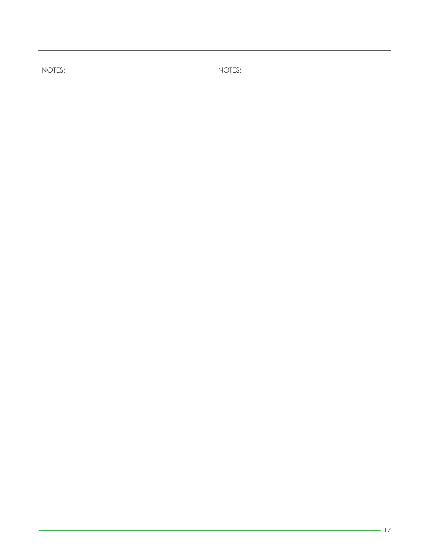| NOTES: | NOTES: |
|--------|--------|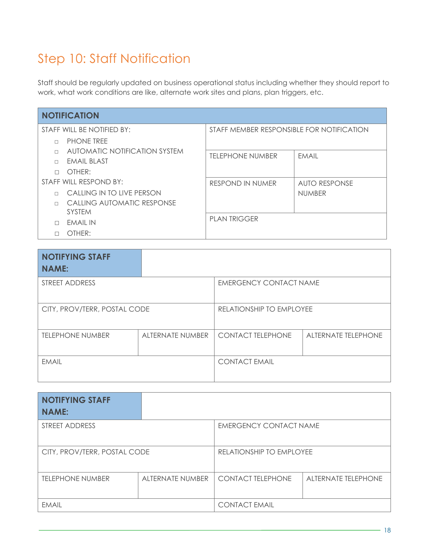#### Step 10: Staff Notification

Staff should be regularly updated on business operational status including whether they should report to work, what work conditions are like, alternate work sites and plans, plan triggers, etc.

| <b>NOTIFICATION</b>        |                                      |                                           |               |  |
|----------------------------|--------------------------------------|-------------------------------------------|---------------|--|
| STAFF WILL BE NOTIFIED BY: |                                      | STAFF MEMBER RESPONSIBLE FOR NOTIFICATION |               |  |
|                            | <b>PHONE TREE</b>                    |                                           |               |  |
|                            | <b>AUTOMATIC NOTIFICATION SYSTEM</b> | <b>TELEPHONE NUMBER</b>                   | <b>FMAIL</b>  |  |
|                            | <b>EMAIL BLAST</b>                   |                                           |               |  |
| $\Box$                     | OTHER:                               |                                           |               |  |
| STAFF WILL RESPOND BY:     |                                      | <b>RESPOND IN NUMER</b>                   | AUTO RESPONSE |  |
|                            | CALLING IN TO LIVE PERSON            |                                           | <b>NUMBER</b> |  |
|                            | CALLING AUTOMATIC RESPONSE           |                                           |               |  |
|                            | <b>SYSTEM</b>                        |                                           |               |  |
| П                          | EMAIL IN                             | <b>PLAN TRIGGER</b>                       |               |  |
|                            | OTHER:                               |                                           |               |  |

| <b>NOTIFYING STAFF</b>       |                         |                               |                            |
|------------------------------|-------------------------|-------------------------------|----------------------------|
| <b>NAME:</b>                 |                         |                               |                            |
| STREET ADDRESS               |                         | <b>EMERGENCY CONTACT NAME</b> |                            |
| CITY, PROV/TERR, POSTAL CODE |                         | RELATIONSHIP TO EMPLOYEE      |                            |
| <b>TELEPHONE NUMBER</b>      | <b>ALTERNATE NUMBER</b> | <b>CONTACT TELEPHONE</b>      | <b>ALTERNATE TELEPHONE</b> |
| <b>EMAIL</b>                 |                         | <b>CONTACT EMAIL</b>          |                            |

| <b>NOTIFYING STAFF</b><br><b>NAME:</b> |                         |                               |                            |
|----------------------------------------|-------------------------|-------------------------------|----------------------------|
| STREET ADDRESS                         |                         | <b>EMERGENCY CONTACT NAME</b> |                            |
| CITY, PROV/TERR, POSTAL CODE           |                         | RELATIONSHIP TO EMPLOYEE      |                            |
| <b>TELEPHONE NUMBER</b>                | <b>ALTERNATE NUMBER</b> | <b>CONTACT TELEPHONE</b>      | <b>ALTERNATE TELEPHONE</b> |
| <b>EMAIL</b>                           |                         | <b>CONTACT EMAIL</b>          |                            |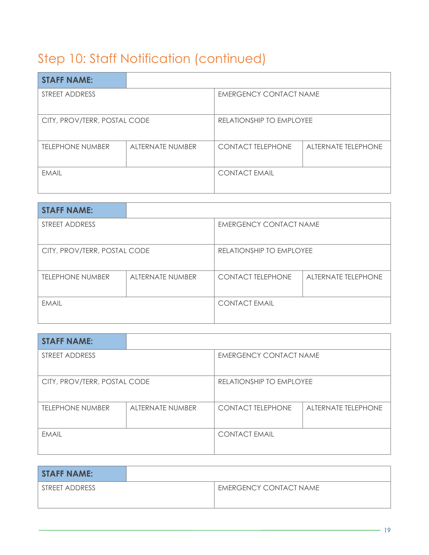# Step 10: Staff Notification (continued)

| <b>STAFF NAME:</b>           |                         |                               |                            |
|------------------------------|-------------------------|-------------------------------|----------------------------|
| STREET ADDRESS               |                         | <b>EMERGENCY CONTACT NAME</b> |                            |
| CITY, PROV/TERR, POSTAL CODE |                         | RELATIONSHIP TO EMPLOYEE      |                            |
| <b>TELEPHONE NUMBER</b>      | <b>ALTERNATE NUMBER</b> | <b>CONTACT TELEPHONE</b>      | <b>ALTERNATE TELEPHONE</b> |
| <b>EMAIL</b>                 |                         | <b>CONTACT EMAIL</b>          |                            |

| <b>STAFF NAME:</b>           |                         |                               |                            |
|------------------------------|-------------------------|-------------------------------|----------------------------|
| STREET ADDRESS               |                         | <b>EMERGENCY CONTACT NAME</b> |                            |
|                              |                         |                               |                            |
| CITY, PROV/TERR, POSTAL CODE |                         | RELATIONSHIP TO EMPLOYEE      |                            |
| <b>TELEPHONE NUMBER</b>      | <b>ALTERNATE NUMBER</b> | <b>CONTACT TELEPHONE</b>      | <b>ALTERNATE TELEPHONE</b> |
| <b>FMAIL</b>                 |                         | <b>CONTACT EMAIL</b>          |                            |

| <b>STAFF NAME:</b>           |                  |                          |                            |
|------------------------------|------------------|--------------------------|----------------------------|
| STREET ADDRESS               |                  | EMERGENCY CONTACT NAME   |                            |
| CITY, PROV/TERR, POSTAL CODE |                  | RELATIONSHIP TO EMPLOYEE |                            |
| <b>TELEPHONE NUMBER</b>      | ALTERNATE NUMBER | <b>CONTACT TELEPHONE</b> | <b>ALTERNATE TELEPHONE</b> |
| <b>EMAIL</b>                 |                  | <b>CONTACT EMAIL</b>     |                            |

| <b>STAFF NAME:</b> |                               |
|--------------------|-------------------------------|
| STREET ADDRESS     | <b>EMERGENCY CONTACT NAME</b> |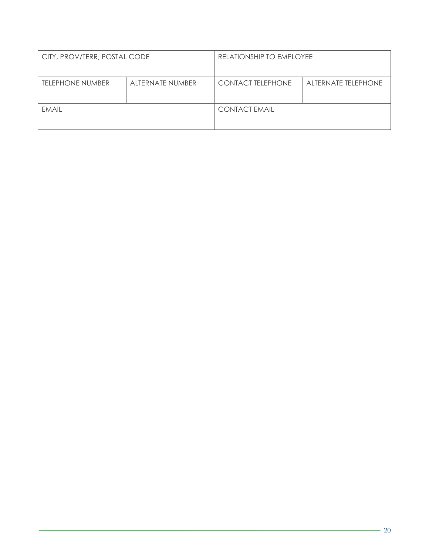| CITY, PROV/TERR, POSTAL CODE                |  | RELATIONSHIP TO EMPLOYEE |                     |
|---------------------------------------------|--|--------------------------|---------------------|
| <b>TELEPHONE NUMBER</b><br>ALTERNATE NUMBER |  | <b>CONTACT TELEPHONE</b> | ALTERNATE TELEPHONE |
|                                             |  |                          |                     |
| <b>EMAIL</b>                                |  | <b>CONTACT EMAIL</b>     |                     |
|                                             |  |                          |                     |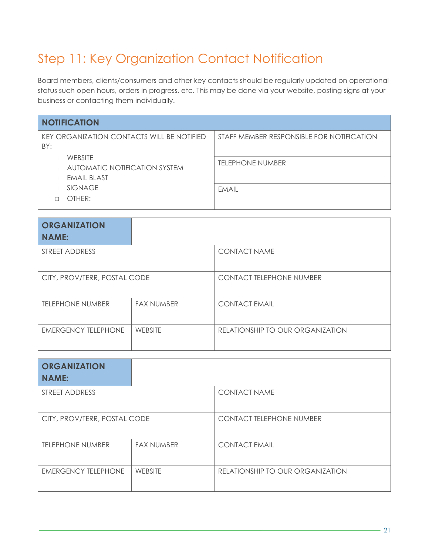# Step 11: Key Organization Contact Notification

Board members, clients/consumers and other key contacts should be regularly updated on operational status such open hours, orders in progress, etc. This may be done via your website, posting signs at your business or contacting them individually.

| <b>NOTIFICATION</b>                                            |                                           |  |  |
|----------------------------------------------------------------|-------------------------------------------|--|--|
| KEY ORGANIZATION CONTACTS WILL BE NOTIFIED<br>BY:              | STAFF MEMBER RESPONSIBLE FOR NOTIFICATION |  |  |
| <b>WEBSITE</b><br>AUTOMATIC NOTIFICATION SYSTEM<br>EMAIL BLAST | <b>TELEPHONE NUMBER</b>                   |  |  |
| <b>SIGNAGE</b><br>OTHER:                                       | <b>FMAIL</b>                              |  |  |
|                                                                |                                           |  |  |

| <b>ORGANIZATION</b><br><b>NAME:</b> |                   |                                  |
|-------------------------------------|-------------------|----------------------------------|
| STREET ADDRESS                      |                   | <b>CONTACT NAME</b>              |
| CITY, PROV/TERR, POSTAL CODE        |                   | <b>CONTACT TELEPHONE NUMBER</b>  |
| <b>TELEPHONE NUMBER</b>             | <b>FAX NUMBER</b> | <b>CONTACT EMAIL</b>             |
| <b>EMERGENCY TELEPHONE</b>          | WEBSITE           | RELATIONSHIP TO OUR ORGANIZATION |

| <b>ORGANIZATION</b><br><b>NAME:</b> |                   |                                  |
|-------------------------------------|-------------------|----------------------------------|
| <b>STREET ADDRESS</b>               |                   | <b>CONTACT NAME</b>              |
| CITY, PROV/TERR, POSTAL CODE        |                   | <b>CONTACT TELEPHONE NUMBER</b>  |
| <b>TELEPHONE NUMBER</b>             | <b>FAX NUMBER</b> | <b>CONTACT EMAIL</b>             |
| <b>EMERGENCY TELEPHONE</b>          | <b>WEBSITE</b>    | RELATIONSHIP TO OUR ORGANIZATION |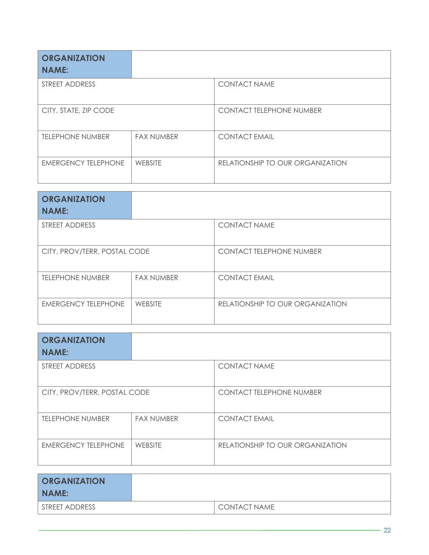| <b>ORGANIZATION</b><br><b>NAME:</b> |                   |                                  |
|-------------------------------------|-------------------|----------------------------------|
| STREET ADDRESS                      |                   | <b>CONTACT NAME</b>              |
| CITY, STATE, ZIP CODE               |                   | <b>CONTACT TELEPHONE NUMBER</b>  |
| <b>TELEPHONE NUMBER</b>             | <b>FAX NUMBER</b> | <b>CONTACT EMAIL</b>             |
| <b>EMERGENCY TELEPHONE</b>          | <b>WEBSITE</b>    | RELATIONSHIP TO OUR ORGANIZATION |

| <b>ORGANIZATION</b><br><b>NAME:</b> |                   |                                  |
|-------------------------------------|-------------------|----------------------------------|
| STREET ADDRESS                      |                   | <b>CONTACT NAME</b>              |
| CITY, PROV/TERR, POSTAL CODE        |                   | <b>CONTACT TELEPHONE NUMBER</b>  |
| <b>TELEPHONE NUMBER</b>             | <b>FAX NUMBER</b> | <b>CONTACT EMAIL</b>             |
| <b>EMERGENCY TELEPHONE</b>          | <b>WEBSITE</b>    | RELATIONSHIP TO OUR ORGANIZATION |

| <b>ORGANIZATION</b><br><b>NAME:</b> |                   |                                  |  |
|-------------------------------------|-------------------|----------------------------------|--|
| STREET ADDRESS                      |                   | <b>CONTACT NAME</b>              |  |
| CITY, PROV/TERR, POSTAL CODE        |                   | <b>CONTACT TELEPHONE NUMBER</b>  |  |
| <b>TELEPHONE NUMBER</b>             | <b>FAX NUMBER</b> | <b>CONTACT EMAIL</b>             |  |
| <b>EMERGENCY TELEPHONE</b>          | WEBSITE           | RELATIONSHIP TO OUR ORGANIZATION |  |

| <b>ORGANIZATION</b><br>NAME: |                |
|------------------------------|----------------|
| STREET ADDRESS               | I CONTACT NAME |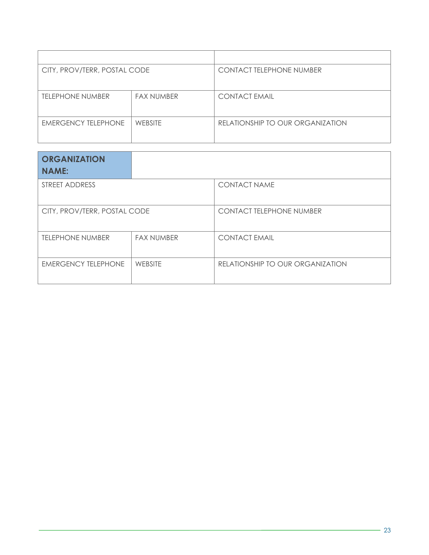| CITY, PROV/TERR, POSTAL CODE |                   | <b>CONTACT TELEPHONE NUMBER</b>  |  |
|------------------------------|-------------------|----------------------------------|--|
| <b>TELEPHONE NUMBER</b>      | <b>FAX NUMBER</b> | <b>CONTACT EMAIL</b>             |  |
| <b>EMERGENCY TELEPHONE</b>   | <b>WEBSITE</b>    | RELATIONSHIP TO OUR ORGANIZATION |  |

| <b>ORGANIZATION</b><br><b>NAME:</b> |                   |                                  |  |
|-------------------------------------|-------------------|----------------------------------|--|
| STREET ADDRESS                      |                   | <b>CONTACT NAME</b>              |  |
| CITY, PROV/TERR, POSTAL CODE        |                   | <b>CONTACT TELEPHONE NUMBER</b>  |  |
| <b>TELEPHONE NUMBER</b>             | <b>FAX NUMBER</b> | <b>CONTACT EMAIL</b>             |  |
| <b>EMERGENCY TELEPHONE</b>          | <b>WEBSITE</b>    | RELATIONSHIP TO OUR ORGANIZATION |  |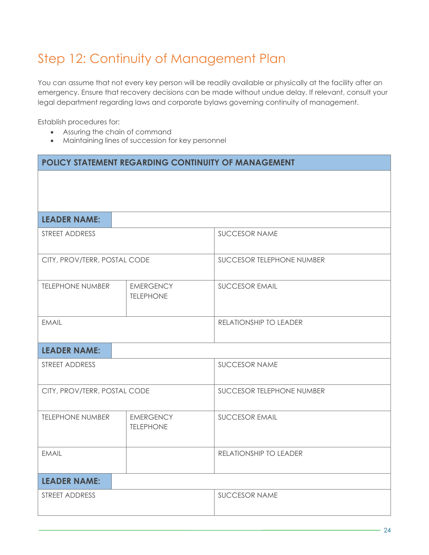# Step 12: Continuity of Management Plan

You can assume that not every key person will be readily available or physically at the facility after an emergency. Ensure that recovery decisions can be made without undue delay. If relevant, consult your legal department regarding laws and corporate bylaws governing continuity of management.

Establish procedures for:

- Assuring the chain of command
- Maintaining lines of succession for key personnel

| POLICY STATEMENT REGARDING CONTINUITY OF MANAGEMENT |                                      |                           |  |  |
|-----------------------------------------------------|--------------------------------------|---------------------------|--|--|
|                                                     |                                      |                           |  |  |
|                                                     |                                      |                           |  |  |
| <b>LEADER NAME:</b>                                 |                                      |                           |  |  |
| STREET ADDRESS                                      |                                      | <b>SUCCESOR NAME</b>      |  |  |
| CITY, PROV/TERR, POSTAL CODE                        |                                      | SUCCESOR TELEPHONE NUMBER |  |  |
| <b>TELEPHONE NUMBER</b>                             | <b>EMERGENCY</b><br><b>TELEPHONE</b> | <b>SUCCESOR EMAIL</b>     |  |  |
| <b>EMAIL</b>                                        |                                      | RELATIONSHIP TO LEADER    |  |  |
| <b>LEADER NAME:</b>                                 |                                      |                           |  |  |
| STREET ADDRESS                                      |                                      | <b>SUCCESOR NAME</b>      |  |  |
| CITY, PROV/TERR, POSTAL CODE                        |                                      | SUCCESOR TELEPHONE NUMBER |  |  |
| <b>TELEPHONE NUMBER</b>                             | <b>EMERGENCY</b><br><b>TELEPHONE</b> | <b>SUCCESOR EMAIL</b>     |  |  |
| <b>EMAIL</b>                                        |                                      | RELATIONSHIP TO LEADER    |  |  |
| <b>LEADER NAME:</b>                                 |                                      |                           |  |  |
| STREET ADDRESS                                      |                                      | <b>SUCCESOR NAME</b>      |  |  |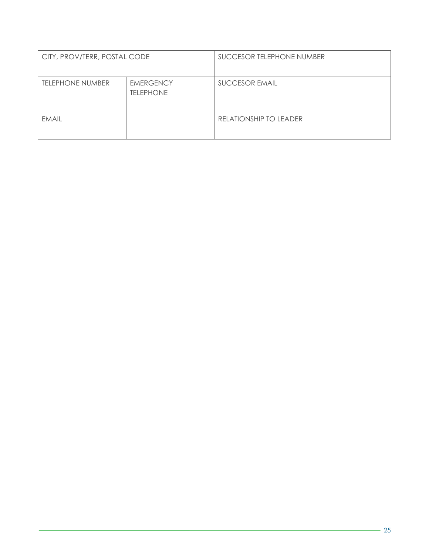| CITY, PROV/TERR, POSTAL CODE |                                      | SUCCESOR TELEPHONE NUMBER |
|------------------------------|--------------------------------------|---------------------------|
| <b>TELEPHONE NUMBER</b>      | <b>EMERGENCY</b><br><b>TELEPHONE</b> | <b>SUCCESOR EMAIL</b>     |
| <b>EMAIL</b>                 |                                      | RELATIONSHIP TO LEADER    |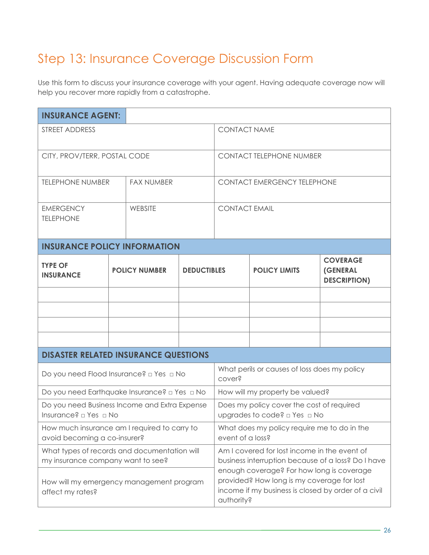#### Step 13: Insurance Coverage Discussion Form

Use this form to discuss your insurance coverage with your agent. Having adequate coverage now will help you recover more rapidly from a catastrophe.

| <b>INSURANCE AGENT:</b>                                                           |  |                                            |                                                                                                                                                              |                                    |                      |                                                           |
|-----------------------------------------------------------------------------------|--|--------------------------------------------|--------------------------------------------------------------------------------------------------------------------------------------------------------------|------------------------------------|----------------------|-----------------------------------------------------------|
| STREET ADDRESS                                                                    |  | <b>CONTACT NAME</b>                        |                                                                                                                                                              |                                    |                      |                                                           |
| CITY, PROV/TERR, POSTAL CODE                                                      |  | <b>CONTACT TELEPHONE NUMBER</b>            |                                                                                                                                                              |                                    |                      |                                                           |
| <b>TELEPHONE NUMBER</b>                                                           |  | <b>FAX NUMBER</b>                          |                                                                                                                                                              | <b>CONTACT EMERGENCY TELEPHONE</b> |                      |                                                           |
| <b>EMERGENCY</b><br><b>TELEPHONE</b>                                              |  | WEBSITE                                    |                                                                                                                                                              | <b>CONTACT EMAIL</b>               |                      |                                                           |
| <b>INSURANCE POLICY INFORMATION</b>                                               |  |                                            |                                                                                                                                                              |                                    |                      |                                                           |
| <b>TYPE OF</b><br><b>INSURANCE</b>                                                |  | <b>POLICY NUMBER</b><br><b>DEDUCTIBLES</b> |                                                                                                                                                              |                                    | <b>POLICY LIMITS</b> | <b>COVERAGE</b><br><b>(GENERAL</b><br><b>DESCRIPTION)</b> |
|                                                                                   |  |                                            |                                                                                                                                                              |                                    |                      |                                                           |
|                                                                                   |  |                                            |                                                                                                                                                              |                                    |                      |                                                           |
|                                                                                   |  |                                            |                                                                                                                                                              |                                    |                      |                                                           |
|                                                                                   |  |                                            |                                                                                                                                                              |                                    |                      |                                                           |
| <b>DISASTER RELATED INSURANCE QUESTIONS</b>                                       |  |                                            |                                                                                                                                                              |                                    |                      |                                                           |
| Do you need Flood Insurance? □ Yes □ No                                           |  |                                            | What perils or causes of loss does my policy<br>cover?                                                                                                       |                                    |                      |                                                           |
| Do you need Earthquake Insurance? a Yes a No                                      |  |                                            | How will my property be valued?                                                                                                                              |                                    |                      |                                                           |
| Do you need Business Income and Extra Expense<br>Insurance? □ Yes □ No            |  |                                            | Does my policy cover the cost of required<br>upgrades to code? □ Yes □ No                                                                                    |                                    |                      |                                                           |
| How much insurance am I required to carry to<br>avoid becoming a co-insurer?      |  |                                            | What does my policy require me to do in the<br>event of a loss?                                                                                              |                                    |                      |                                                           |
| What types of records and documentation will<br>my insurance company want to see? |  |                                            | Am I covered for lost income in the event of<br>business interruption because of a loss? Do I have                                                           |                                    |                      |                                                           |
| How will my emergency management program<br>affect my rates?                      |  |                                            | enough coverage? For how long is coverage<br>provided? How long is my coverage for lost<br>income if my business is closed by order of a civil<br>authority? |                                    |                      |                                                           |